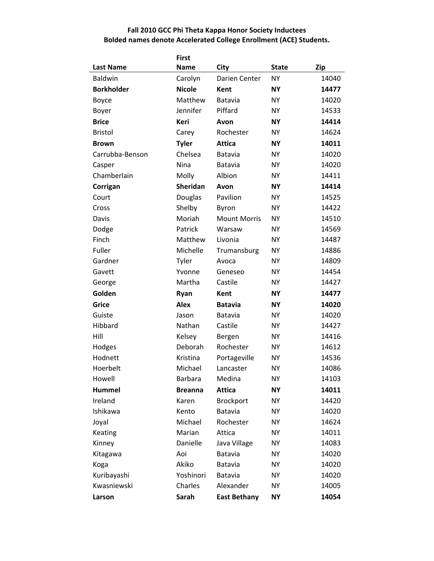## **Fall 2010 GCC Phi Theta Kappa Honor Society Inductees Bolded names denote Accelerated College Enrollment (ACE) Students.**

|                   | <b>First</b>    |                     |              |            |
|-------------------|-----------------|---------------------|--------------|------------|
| <b>Last Name</b>  | <b>Name</b>     | City                | <b>State</b> | <b>Zip</b> |
| <b>Baldwin</b>    | Carolyn         | Darien Center       | <b>NY</b>    | 14040      |
| <b>Borkholder</b> | <b>Nicole</b>   | <b>Kent</b>         | <b>NY</b>    | 14477      |
| Boyce             | Matthew         | Batavia             | <b>NY</b>    | 14020      |
| Boyer             | Jennifer        | Piffard             | <b>NY</b>    | 14533      |
| <b>Brice</b>      | Keri            | Avon                | <b>NY</b>    | 14414      |
| <b>Bristol</b>    | Carey           | Rochester           | <b>NY</b>    | 14624      |
| <b>Brown</b>      | <b>Tyler</b>    | <b>Attica</b>       | <b>NY</b>    | 14011      |
| Carrubba-Benson   | Chelsea         | <b>Batavia</b>      | <b>NY</b>    | 14020      |
| Casper            | Nina            | Batavia             | <b>NY</b>    | 14020      |
| Chamberlain       | Molly           | Albion              | <b>NY</b>    | 14411      |
| Corrigan          | <b>Sheridan</b> | Avon                | <b>NY</b>    | 14414      |
| Court             | Douglas         | Pavilion            | <b>NY</b>    | 14525      |
| Cross             | Shelby          | Byron               | <b>NY</b>    | 14422      |
| Davis             | Moriah          | <b>Mount Morris</b> | <b>NY</b>    | 14510      |
| Dodge             | Patrick         | Warsaw              | <b>NY</b>    | 14569      |
| Finch             | Matthew         | Livonia             | <b>NY</b>    | 14487      |
| Fuller            | Michelle        | Trumansburg         | <b>NY</b>    | 14886      |
| Gardner           | Tyler           | Avoca               | <b>NY</b>    | 14809      |
| Gavett            | Yvonne          | Geneseo             | <b>NY</b>    | 14454      |
| George            | Martha          | Castile             | <b>NY</b>    | 14427      |
| Golden            | Ryan            | Kent                | <b>NY</b>    | 14477      |
| <b>Grice</b>      | <b>Alex</b>     | <b>Batavia</b>      | <b>NY</b>    | 14020      |
| Guiste            | Jason           | Batavia             | <b>NY</b>    | 14020      |
| Hibbard           | Nathan          | Castile             | <b>NY</b>    | 14427      |
| Hill              | Kelsey          | Bergen              | <b>NY</b>    | 14416      |
| Hodges            | Deborah         | Rochester           | <b>NY</b>    | 14612      |
| Hodnett           | Kristina        | Portageville        | <b>NY</b>    | 14536      |
| Hoerbelt          | Michael         | Lancaster           | <b>NY</b>    | 14086      |
| Howell            | Barbara         | Medina              | NΥ           | 14103      |
| <b>Hummel</b>     | <b>Breanna</b>  | <b>Attica</b>       | <b>NY</b>    | 14011      |
| Ireland           | Karen           | <b>Brockport</b>    | <b>NY</b>    | 14420      |
| Ishikawa          | Kento           | Batavia             | <b>NY</b>    | 14020      |
| Joyal             | Michael         | Rochester           | <b>NY</b>    | 14624      |
| Keating           | Marian          | Attica              | <b>NY</b>    | 14011      |
| Kinney            | Danielle        | Java Village        | <b>NY</b>    | 14083      |
| Kitagawa          | Aoi             | Batavia             | <b>NY</b>    | 14020      |
| Koga              | Akiko           | Batavia             | <b>NY</b>    | 14020      |
| Kuribayashi       | Yoshinori       | Batavia             | <b>NY</b>    | 14020      |
| Kwasniewski       | Charles         | Alexander           | <b>NY</b>    | 14005      |
| Larson            | Sarah           | <b>East Bethany</b> | <b>NY</b>    | 14054      |